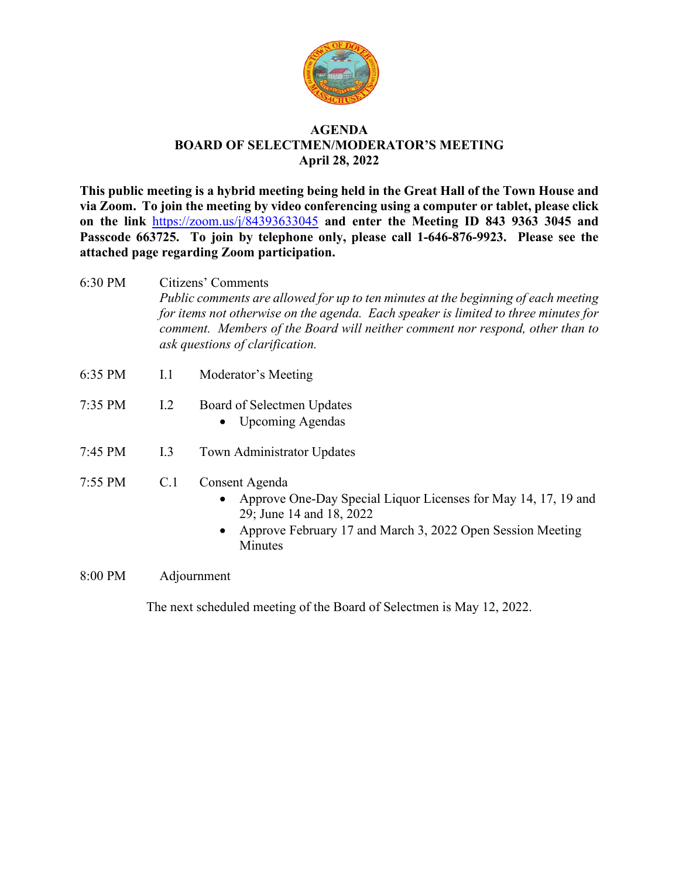

## **AGENDA BOARD OF SELECTMEN/MODERATOR'S MEETING April 28, 2022**

**This public meeting is a hybrid meeting being held in the Great Hall of the Town House and via Zoom. To join the meeting by video conferencing using a computer or tablet, please click on the link** <https://zoom.us/j/84393633045> **and enter the Meeting ID 843 9363 3045 and Passcode 663725. To join by telephone only, please call 1-646-876-9923. Please see the attached page regarding Zoom participation.**

- 6:30 PM Citizens' Comments *Public comments are allowed for up to ten minutes at the beginning of each meeting for items not otherwise on the agenda. Each speaker is limited to three minutes for comment. Members of the Board will neither comment nor respond, other than to ask questions of clarification.*
- 6:35 PM I.1 Moderator's Meeting
- 7:35 PM I.2 Board of Selectmen Updates
	- Upcoming Agendas
- 7:45 PM I.3 Town Administrator Updates
- 7:55 PM C.1 Consent Agenda
	- Approve One-Day Special Liquor Licenses for May 14, 17, 19 and 29; June 14 and 18, 2022
	- Approve February 17 and March 3, 2022 Open Session Meeting **Minutes**
- 8:00 PM Adjournment

The next scheduled meeting of the Board of Selectmen is May 12, 2022.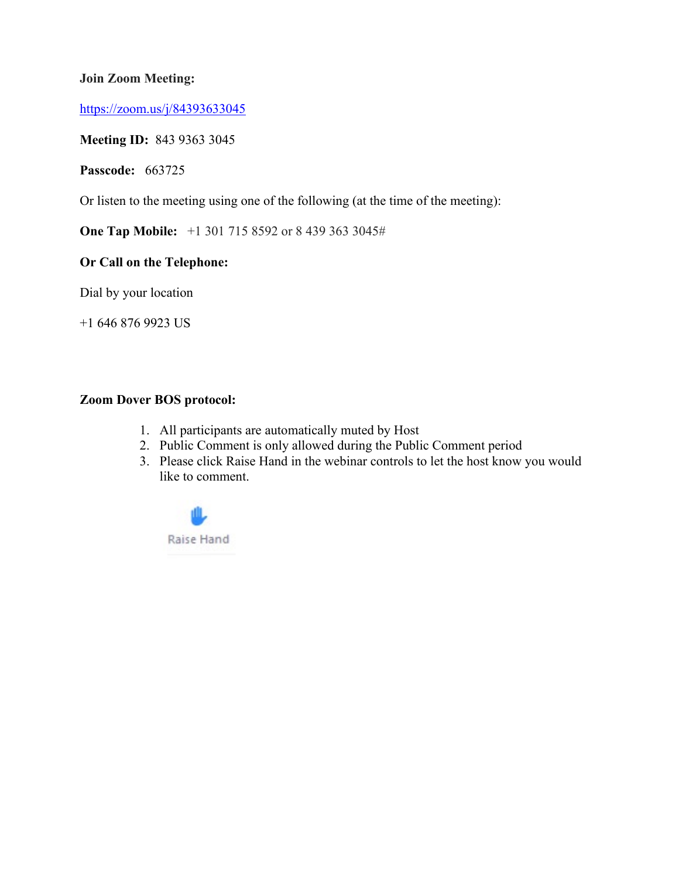## **Join Zoom Meeting:**

<https://zoom.us/j/84393633045>

## **Meeting ID:** 843 9363 3045

**Passcode:** 663725

Or listen to the meeting using one of the following (at the time of the meeting):

**One Tap Mobile:** +1 301 715 8592 or 8 439 363 3045#

## **Or Call on the Telephone:**

Dial by your location

+1 646 876 9923 US

## **Zoom Dover BOS protocol:**

- 1. All participants are automatically muted by Host
- 2. Public Comment is only allowed during the Public Comment period
- 3. Please click Raise Hand in the webinar controls to let the host know you would like to comment.

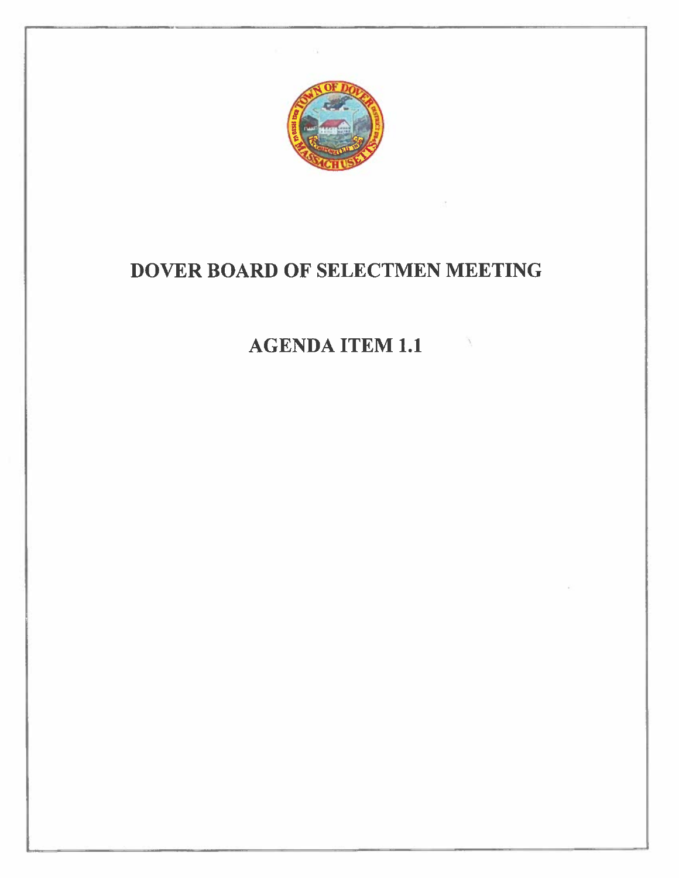

# DOVER BOARD OF SELECTMEN MEETING

## **AGENDA ITEM 1.1**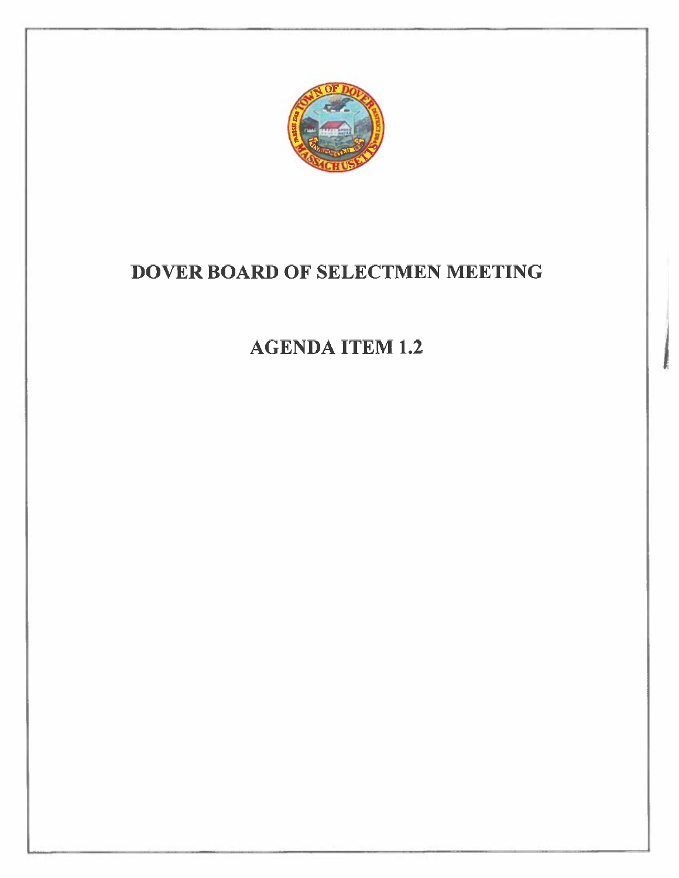

# DOVER BOARD OF SELECTMEN MEETING

# **AGENDA ITEM 1.2**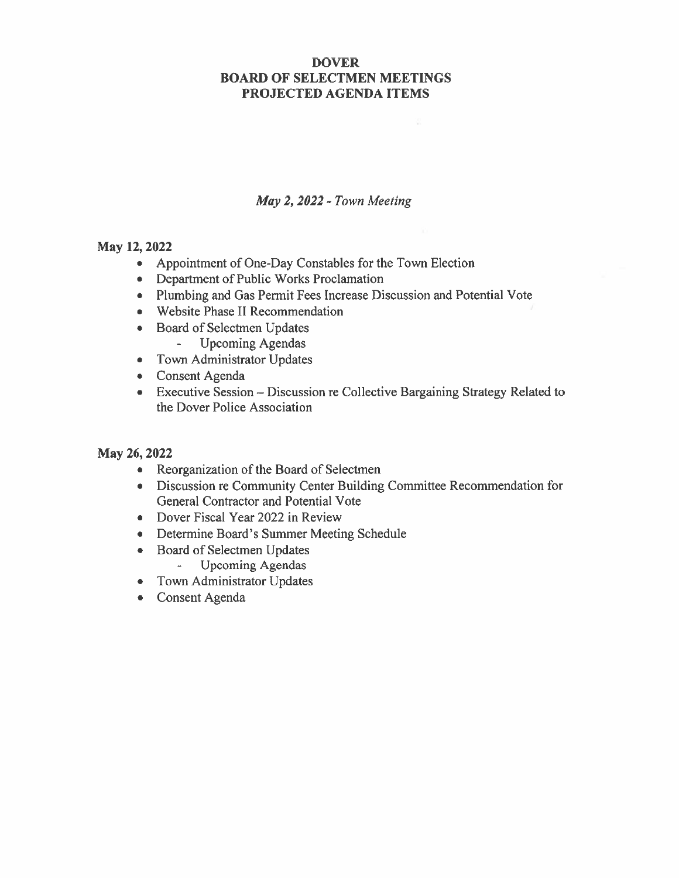## **DOVER BOARD OF SELECTMEN MEETINGS** PROJECTED AGENDA ITEMS

## May 2, 2022 - Town Meeting

## May 12, 2022

- Appointment of One-Day Constables for the Town Election
- Department of Public Works Proclamation
- Plumbing and Gas Permit Fees Increase Discussion and Potential Vote
- Website Phase II Recommendation
- Board of Selectmen Updates  $\mathbb{Z}^{\mathbb{Z}}$ **Upcoming Agendas**
- Town Administrator Updates
- Consent Agenda
- Executive Session Discussion re Collective Bargaining Strategy Related to the Dover Police Association

## May 26, 2022

- Reorganization of the Board of Selectmen
- Discussion re Community Center Building Committee Recommendation for General Contractor and Potential Vote
- Dover Fiscal Year 2022 in Review
- Determine Board's Summer Meeting Schedule
- Board of Selectmen Updates ä, **Upcoming Agendas**
- Town Administrator Updates
- Consent Agenda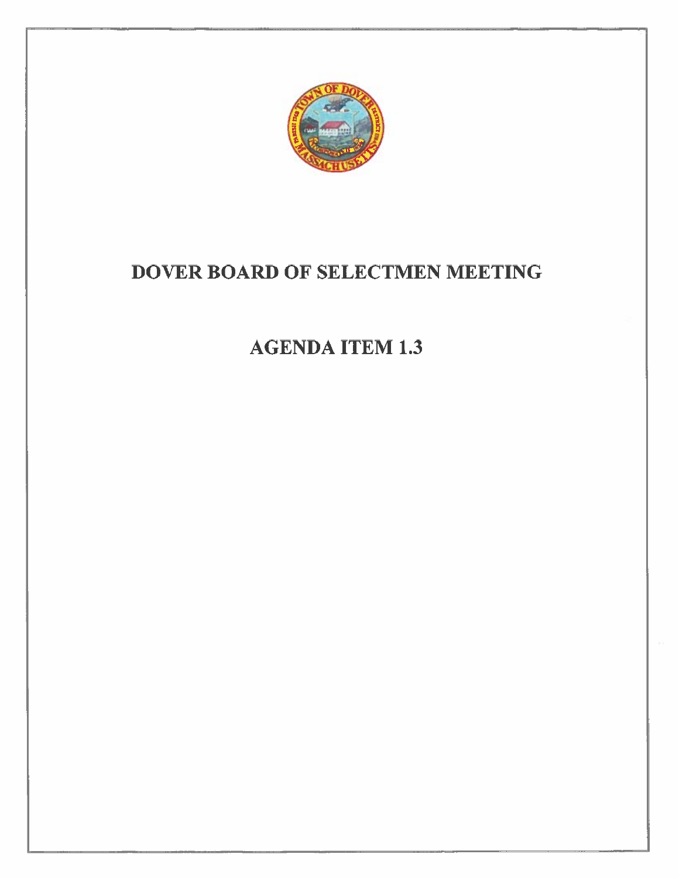

# DOVER BOARD OF SELECTMEN MEETING

# **AGENDA ITEM 1.3**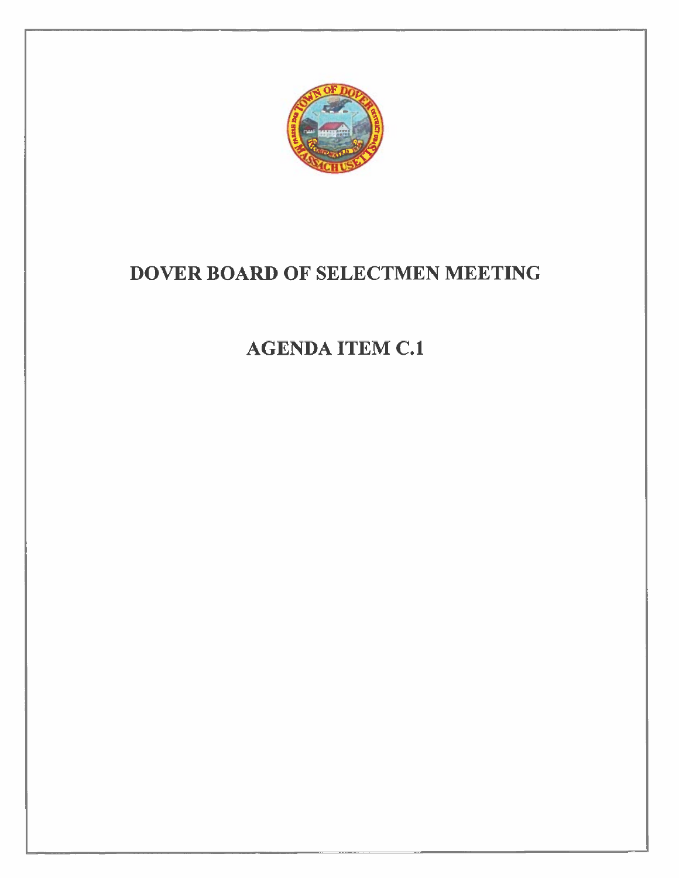

# DOVER BOARD OF SELECTMEN MEETING

# **AGENDA ITEM C.1**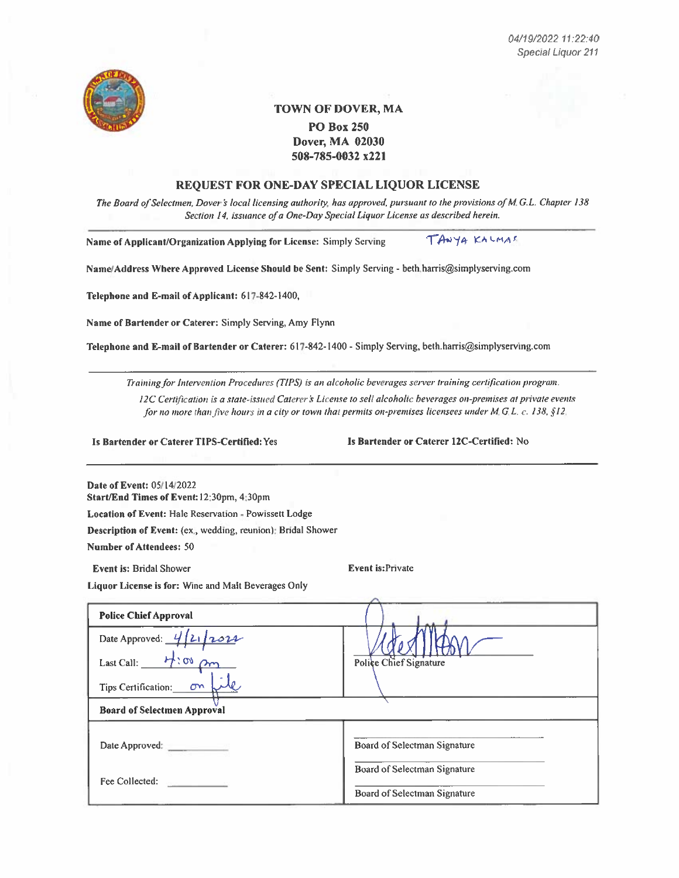

## **TOWN OF DOVER, MA PO Box 250 Dover, MA 02030**

508-785-0032 x221

### REQUEST FOR ONE-DAY SPECIAL LIQUOR LICENSE

The Board of Selectmen, Dover's local licensing authority, has approved, pursuant to the provisions of M.G.L. Chapter 138 Section 14, issuance of a One-Day Special Liquor License as described herein.

Name of Applicant/Organization Applying for License: Simply Serving

TANYA KALMAS

Name/Address Where Approved License Should be Sent: Simply Serving - beth.harris@simplyserving.com

Telephone and E-mail of Applicant: 617-842-1400,

Name of Bartender or Caterer: Simply Serving, Amy Flynn

Telephone and E-mail of Bartender or Caterer: 617-842-1400 - Simply Serving, beth.harris@simplyserving.com

Training for Intervention Procedures (TIPS) is an alcoholic beverages server training certification program.

12C Certification is a state-issued Caterer's License to sell alcoholic beverages on-premises at private events for no more than five hours in a city or town that permits on-premises licensees under  $M$ , G.L. c. 138, §12.

Is Bartender or Caterer TIPS-Certified: Yes

Is Bartender or Caterer 12C-Certified: No

Date of Event: 05/14/2022 Start/End Times of Event: 12:30pm, 4:30pm

Location of Event: Hale Reservation - Powissett Lodge

Description of Event: (ex., wedding, reunion): Bridal Shower

**Number of Attendees: 50** 

**Event is: Bridal Shower** 

**Event is:Private** 

Liquor License is for: Wine and Malt Beverages Only

| <b>Police Chief Approval</b>           |                              |
|----------------------------------------|------------------------------|
| Date Approved: $4/2/2022$              |                              |
| $H:\infty$ am<br>Last Call:            | Police Chief Signature       |
| Tips Certification:<br>$\sigma$        |                              |
| <b>Board of Selectmen Approval</b>     |                              |
| Date Approved:                         | Board of Selectman Signature |
|                                        | Board of Selectman Signature |
| Fee Collected:<br>construction and the | Board of Selectman Signature |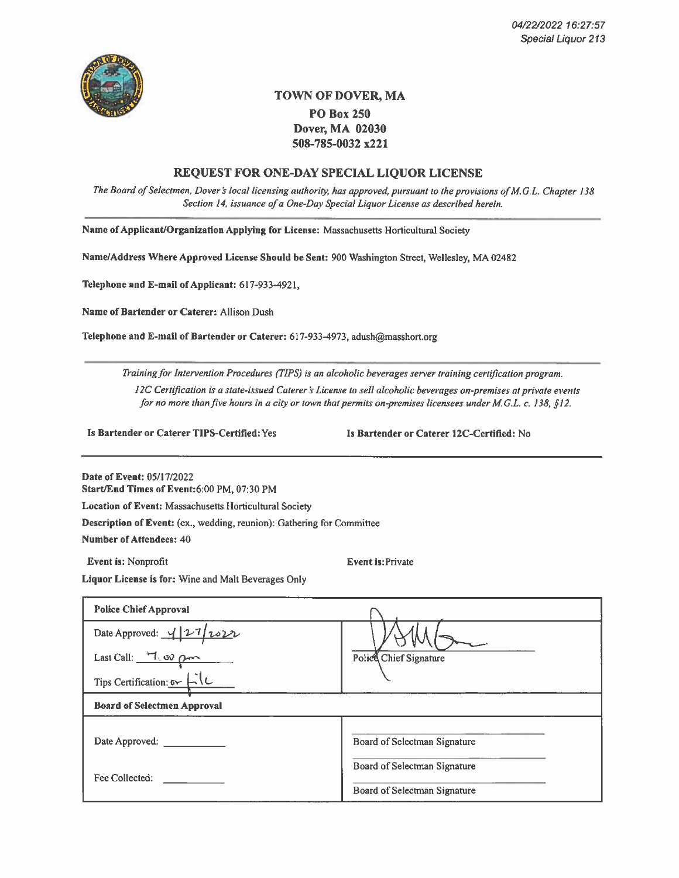

## TOWN OF DOVER, MA **PO Box 250** Dover, MA 02030 508-785-0032 x221

### **REQUEST FOR ONE-DAY SPECIAL LIQUOR LICENSE**

The Board of Selectmen, Dover's local licensing authority, has approved, pursuant to the provisions of M.G.L. Chapter 138 Section 14, issuance of a One-Day Special Liquor License as described herein.

Name of Applicant/Organization Applying for License: Massachusetts Horticultural Society

Name/Address Where Approved License Should be Sent: 900 Washington Street, Wellesley, MA 02482

Telephone and E-mail of Applicant: 617-933-4921,

Name of Bartender or Caterer: Allison Dush

Telephone and E-mail of Bartender or Caterer: 617-933-4973, adush@masshort.org

Training for Intervention Procedures (TIPS) is an alcoholic beverages server training certification program. 12C Certification is a state-issued Caterer's License to sell alcoholic beverages on-premises at private events for no more than five hours in a city or town that permits on-premises licensees under M.G.L. c. 138, §12.

Is Bartender or Caterer TIPS-Certified: Yes

Is Bartender or Caterer 12C-Certified: No

Date of Event: 05/17/2022 Start/End Times of Event:6:00 PM, 07:30 PM

Location of Event: Massachusetts Horticultural Society

Description of Event: (ex., wedding, reunion): Gathering for Committee

**Number of Attendees: 40** 

Event is: Nonprofit

**Event** is: Private

Liquor License is for: Wine and Malt Beverages Only

| <b>Police Chief Approval</b>                           |                              |
|--------------------------------------------------------|------------------------------|
| Date Approved: $\frac{4}{27}$ 2022                     |                              |
| Last Call: $\frac{H_{\text{LO}}}{H_{\text{LO}}}\rho m$ | Police Chief Signature       |
| Tips Certification: $5 - 10$                           |                              |
| <b>Board of Selectmen Approval</b>                     |                              |
| Date Approved:                                         | Board of Selectman Signature |
|                                                        | Board of Selectman Signature |
| Fee Collected:                                         | Board of Selectman Signature |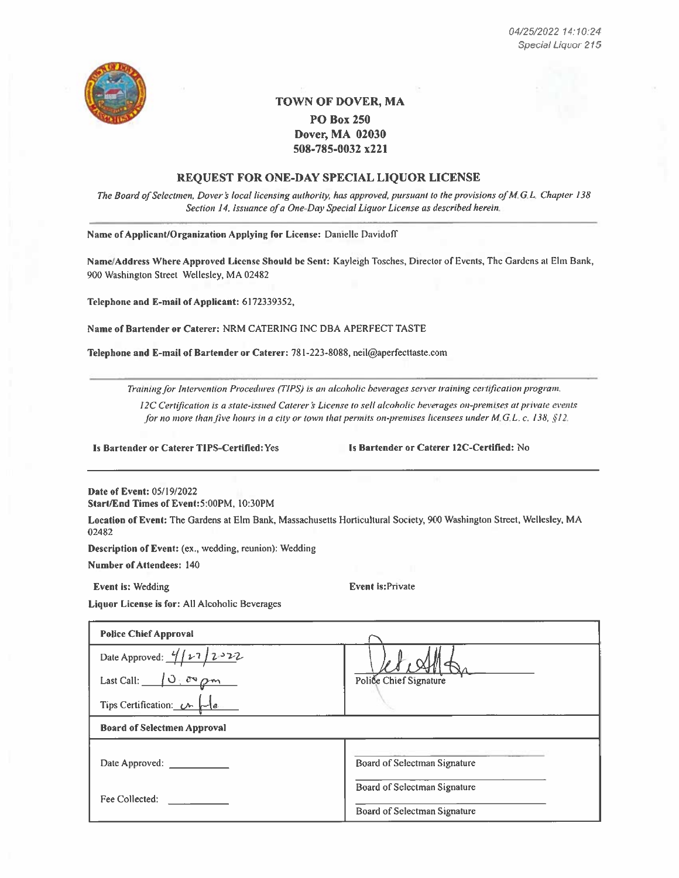

## **TOWN OF DOVER, MA PO Box 250** Dover, MA 02030

508-785-0032 x221

### REQUEST FOR ONE-DAY SPECIAL LIQUOR LICENSE

The Board of Selectmen, Dover's local licensing authority, has approved, pursuant to the provisions of M.G.L. Chapter 138 Section 14, issuance of a One-Day Special Liquor License as described herein.

Name of Applicant/Organization Applying for License: Danielle Davidoff

Name/Address Where Approved License Should be Sent: Kayleigh Tosches, Director of Events, The Gardens at Elm Bank, 900 Washington Street Wellesley, MA 02482

Telephone and E-mail of Applicant: 6172339352,

Name of Bartender or Caterer: NRM CATERING INC DBA APERFECT TASTE

Telephone and E-mail of Bartender or Caterer: 781-223-8088, neil@aperfecttaste.com

Training for Intervention Procedures (TIPS) is an alcoholic beverages server training certification program.

12C Certification is a state-issued Caterer's License to sell alcoholic beverages on-premises at private events for no more than five hours in a city or town that permits on-premises licensees under M.G.L. c. 138,  $\S12$ .

Is Bartender or Caterer TIPS-Certified: Yes

Is Bartender or Caterer 12C-Certified: No

Date of Event: 05/19/2022 Start/End Times of Event:5:00PM, 10:30PM

Location of Event: The Gardens at Elm Bank, Massachusetts Horticultural Society, 900 Washington Street, Wellesley, MA 02482

Description of Event: (ex., wedding, reunion): Wedding

**Number of Attendees: 140** 

Event is: Wedding

**Event is:Private** 

Liquor License is for: All Alcoholic Beverages

| <b>Police Chief Approval</b>       |                              |
|------------------------------------|------------------------------|
| Date Approved: $\frac{4}{12}$ 2322 |                              |
| Last Call: $\sqrt{0-c^2\rho m}$    | Police Chief Signature       |
| Tips Certification: $\mathcal{C}$  |                              |
| <b>Board of Selectmen Approval</b> |                              |
| Date Approved:                     | Board of Selectman Signature |
|                                    | Board of Selectman Signature |
| Fee Collected:                     |                              |
|                                    | Board of Selectman Signature |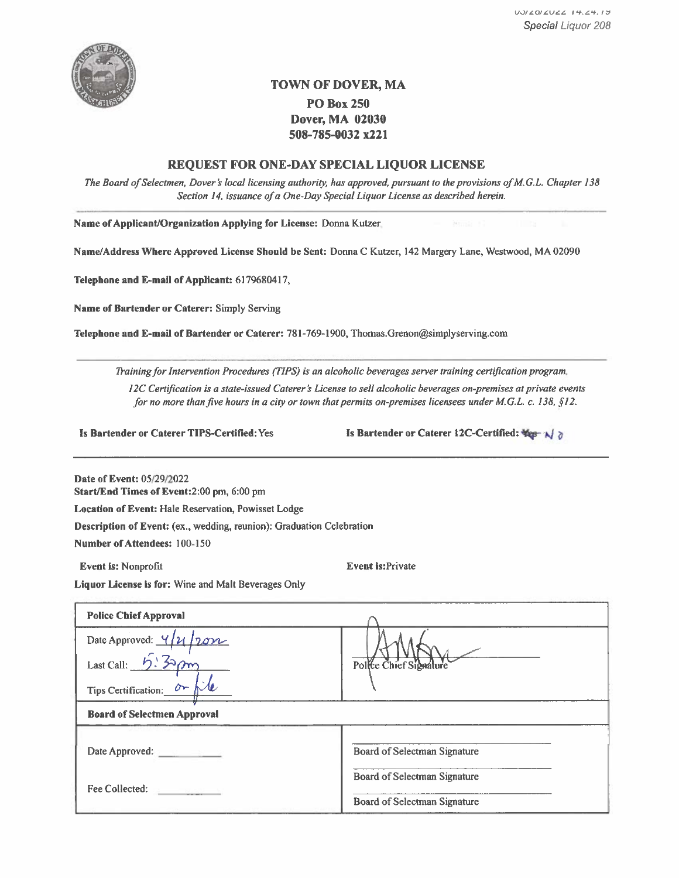

## TOWN OF DOVER, MA

## **PO Box 250** Dover, MA 02030 508-785-0032 x221

### REQUEST FOR ONE-DAY SPECIAL LIQUOR LICENSE

The Board of Selectmen, Dover's local licensing authority, has approved, pursuant to the provisions of M.G.L. Chapter 138 Section 14, issuance of a One-Day Special Liquor License as described herein.

Name of Applicant/Organization Applying for License: Donna Kutzer,

Name/Address Where Approved License Should be Sent: Donna C Kutzer, 142 Margery Lane, Westwood, MA 02090

Telephone and E-mail of Applicant: 6179680417,

Name of Bartender or Caterer: Simply Serving

Telephone and E-mail of Bartender or Caterer: 781-769-1900, Thomas.Grenon@simplyserving.com

Training for Intervention Procedures (TIPS) is an alcoholic beverages server training certification program. 12C Certification is a state-issued Caterer's License to sell alcoholic beverages on-premises at private events for no more than five hours in a city or town that permits on-premises licensees under M.G.L. c. 138, §12.

Is Bartender or Caterer TIPS-Certified: Yes

Is Bartender or Caterer 12C-Certified:  $\frac{1}{2}$ 

Date of Event: 05/29/2022

Start/End Times of Event:2:00 pm, 6:00 pm

Location of Event: Hale Reservation, Powisset Lodge

Description of Event: (ex., wedding, reunion): Graduation Celebration

Number of Attendees: 100-150

Event is: Nonprofit

**Event is:Private** 

Liquor License is for: Wine and Malt Beverages Only

| <b>Police Chief Approval</b>                 |                              |
|----------------------------------------------|------------------------------|
| Date Approved: $4/1/20$                      |                              |
| Last Call: $5.32 \rho m$                     | Police Chief Signature       |
| Tips Certification: $0 - \frac{1}{\sqrt{2}}$ |                              |
| <b>Board of Selectmen Approval</b>           |                              |
| Date Approved: ____________                  | Board of Selectman Signature |
|                                              | Board of Selectman Signature |
| Fee Collected:                               | Board of Selectman Signature |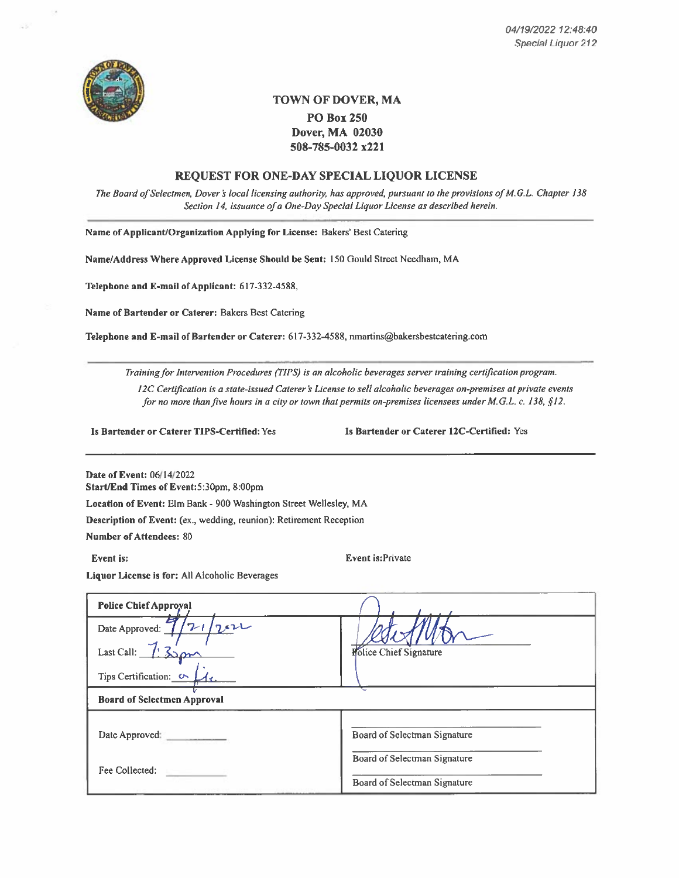

## TOWN OF DOVER, MA **PO Box 250** Dover, MA 02030 508-785-0032 x221

### REQUEST FOR ONE-DAY SPECIAL LIQUOR LICENSE

The Board of Selectmen, Dover's local licensing authority, has approved, pursuant to the provisions of M.G.L. Chapter 138 Section 14, issuance of a One-Day Special Liquor License as described herein.

Name of Applicant/Organization Applying for License: Bakers' Best Catering

Name/Address Where Approved License Should be Sent: 150 Gould Street Needham, MA

Telephone and E-mail of Applicant: 617-332-4588,

Name of Bartender or Caterer: Bakers Best Catering

Telephone and E-mail of Bartender or Caterer: 617-332-4588, nmartins@bakersbestcatering.com

Training for Intervention Procedures (TIPS) is an alcoholic beverages server training certification program.

12C Certification is a state-issued Caterer's License to sell alcoholic beverages on-premises at private events for no more than five hours in a city or town that permits on-premises licensees under M.G.L. c. 138, §12.

Is Bartender or Caterer TIPS-Certified: Yes

Is Bartender or Caterer 12C-Certified: Yes

Date of Event: 06/14/2022 Start/End Times of Event:5:30pm, 8:00pm

Location of Event: Elm Bank - 900 Washington Street Wellesley, MA

Description of Event: (ex., wedding, reunion): Retirement Reception

**Number of Attendees: 80** 

Event is:

Event is:Private

Liquor License is for: All Alcoholic Beverages

| <b>Police Chief Approval</b>       |                               |
|------------------------------------|-------------------------------|
| Date Approved: $7/21/222$          |                               |
| Last Call: $\sqrt{\frac{32}{2}}$   | <b>Rolice Chief Signature</b> |
| Tips Certification: $\circ$        |                               |
| <b>Board of Selectmen Approval</b> |                               |
| Date Approved:                     | Board of Selectman Signature  |
|                                    |                               |
| Fee Collected:                     | Board of Selectman Signature  |
|                                    | Board of Selectman Signature  |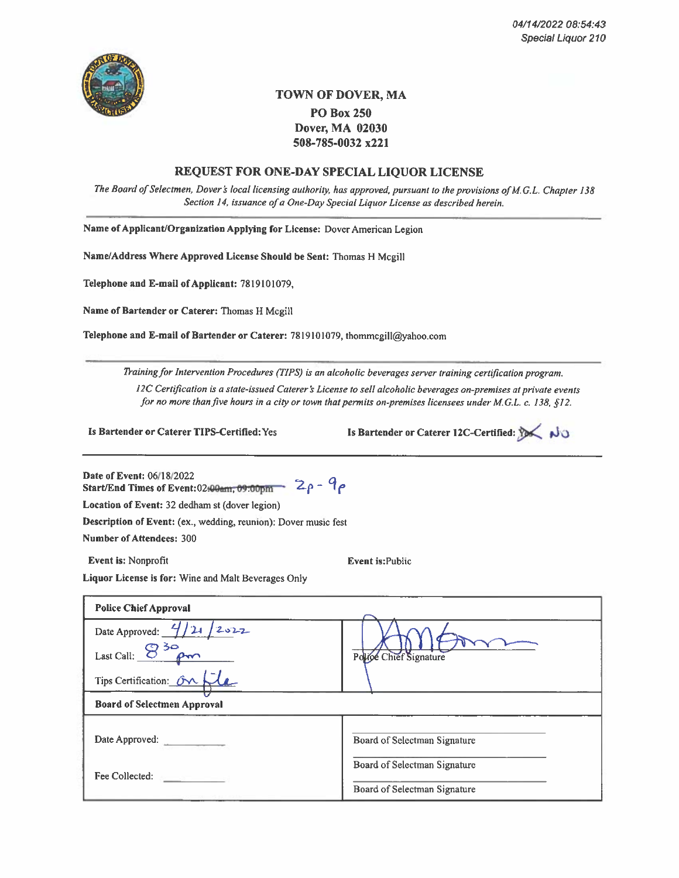

## **TOWN OF DOVER, MA PO Box 250** Dover, MA 02030 508-785-0032 x221

## **REQUEST FOR ONE-DAY SPECIAL LIOUOR LICENSE**

The Board of Selectmen, Dover's local licensing authority, has approved, pursuant to the provisions of M.G.L. Chapter 138 Section 14, issuance of a One-Day Special Liquor License as described herein.

Name of Applicant/Organization Applying for License: Dover American Legion

Name/Address Where Approved License Should be Sent: Thomas H Mcgill

Telephone and E-mail of Applicant: 7819101079.

Name of Bartender or Caterer: Thomas H Mcgill

Telephone and E-mail of Bartender or Caterer: 7819101079, thommcgill@yahoo.com

Training for Intervention Procedures (TIPS) is an alcoholic beverages server training certification program.

12C Certification is a state-issued Caterer's License to sell alcoholic beverages on-premises at private events for no more than five hours in a city or town that permits on-premises licensees under M.G.L. c. 138, §12.

Is Bartender or Caterer TIPS-Certified: Yes

Is Bartender or Caterer 12C-Certified: 1

Date of Event: 06/18/2022 Start/End Times of Event: 02:00 am, 09:00 pm  $2\rho - 9\rho$ 

Location of Event: 32 dedham st (dover legion)

Description of Event: (ex., wedding, reunion): Dover music fest

**Number of Attendees: 300** 

Event is: Nonprofit

**Event is: Public** 

Liquor License is for: Wine and Malt Beverages Only

| <b>Police Chief Approval</b>           |                              |
|----------------------------------------|------------------------------|
| Date Approved: $\frac{4}{2}$ /21 /2022 |                              |
| Last Call: $830$ $\rho$ m              | Police Chief Signature       |
| Tips Certification: On file            |                              |
| <b>Board of Selectmen Approval</b>     |                              |
| Date Approved:                         | Board of Selectman Signature |
|                                        | Board of Selectman Signature |
| Fee Collected:                         | Board of Selectman Signature |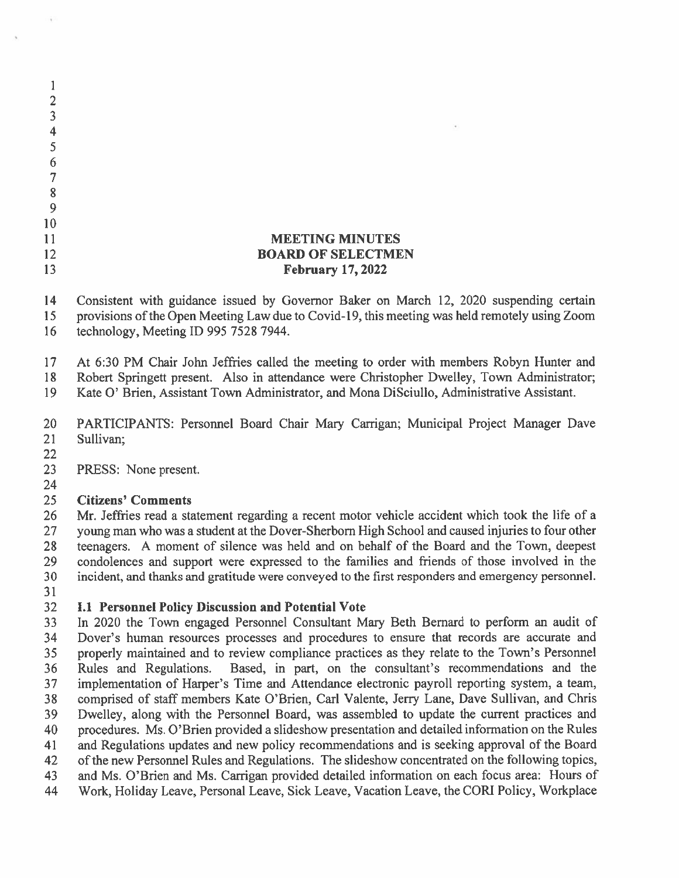| 6  |                                                                                               |
|----|-----------------------------------------------------------------------------------------------|
|    |                                                                                               |
| 8  |                                                                                               |
| 9  |                                                                                               |
| 10 |                                                                                               |
|    | <b>MEETING MINUTES</b>                                                                        |
| 12 | <b>BOARD OF SELECTMEN</b>                                                                     |
| 13 | <b>February 17, 2022</b>                                                                      |
|    |                                                                                               |
| 14 | Consistent with guidance issued by Governor Baker on March 12, 2020 suspending certain        |
| 15 | provisions of the Open Meeting Law due to Covid-19, this meeting was held remotely using Zoom |
| 16 | technology, Meeting ID 995 7528 7944.                                                         |

17 At 6:30 PM Chair John Jeffries called the meeting to order with members Robyn Hunter and

Robert Springett present. Also in attendance were Christopher Dwelley, Town Administrator; 18

Kate O' Brien, Assistant Town Administrator, and Mona DiSciullo, Administrative Assistant. 19

20 PARTICIPANTS: Personnel Board Chair Mary Carrigan; Municipal Project Manager Dave 21 Sullivan;

22

 $\mathbf{1}$  $\overline{2}$  $\overline{3}$  $\overline{\mathbf{4}}$  $\overline{5}$ 

- 23 PRESS: None present.
- 24

#### 25 **Citizens' Comments**

Mr. Jeffries read a statement regarding a recent motor vehicle accident which took the life of a 26 young man who was a student at the Dover-Sherborn High School and caused injuries to four other 27 28 teenagers. A moment of silence was held and on behalf of the Board and the Town, deepest 29 condolences and support were expressed to the families and friends of those involved in the incident, and thanks and gratitude were conveyed to the first responders and emergency personnel. 30

31

#### 32 **I.1 Personnel Policy Discussion and Potential Vote**

In 2020 the Town engaged Personnel Consultant Mary Beth Bernard to perform an audit of 33 Dover's human resources processes and procedures to ensure that records are accurate and 34 properly maintained and to review compliance practices as they relate to the Town's Personnel 35 Based, in part, on the consultant's recommendations and the Rules and Regulations. 36 implementation of Harper's Time and Attendance electronic payroll reporting system, a team, 37 38 comprised of staff members Kate O'Brien, Carl Valente, Jerry Lane, Dave Sullivan, and Chris Dwelley, along with the Personnel Board, was assembled to update the current practices and 39 procedures. Ms. O'Brien provided a slideshow presentation and detailed information on the Rules 40 41 and Regulations updates and new policy recommendations and is seeking approval of the Board of the new Personnel Rules and Regulations. The slideshow concentrated on the following topics, 42 and Ms. O'Brien and Ms. Carrigan provided detailed information on each focus area: Hours of 43 Work, Holiday Leave, Personal Leave, Sick Leave, Vacation Leave, the CORI Policy, Workplace 44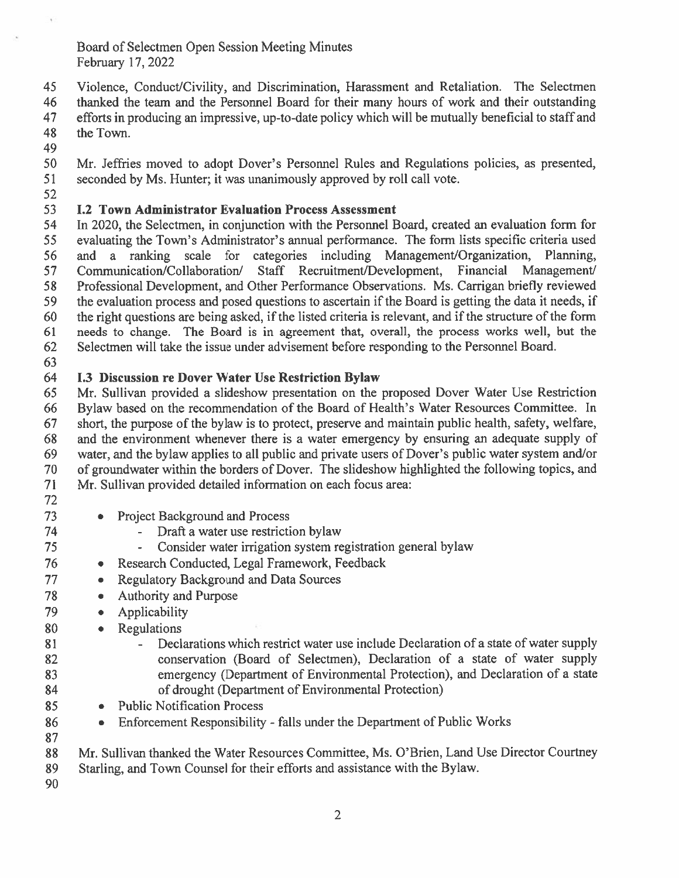Board of Selectmen Open Session Meeting Minutes February 17, 2022

45 Violence, Conduct/Civility, and Discrimination, Harassment and Retaliation. The Selectmen thanked the team and the Personnel Board for their many hours of work and their outstanding 46 efforts in producing an impressive, up-to-date policy which will be mutually beneficial to staff and 47 48 the Town.

49

50 Mr. Jeffries moved to adopt Dover's Personnel Rules and Regulations policies, as presented, seconded by Ms. Hunter: it was unanimously approved by roll call vote. 51

52

#### 53 **I.2 Town Administrator Evaluation Process Assessment**

54 In 2020, the Selectmen, in conjunction with the Personnel Board, created an evaluation form for evaluating the Town's Administrator's annual performance. The form lists specific criteria used 55 56 and a ranking scale for categories including Management/Organization, Planning, 57 Communication/Collaboration/ Staff Recruitment/Development, Financial Management/ 58 Professional Development, and Other Performance Observations. Ms. Carrigan briefly reviewed 59 the evaluation process and posed questions to ascertain if the Board is getting the data it needs, if the right questions are being asked, if the listed criteria is relevant, and if the structure of the form 60 needs to change. The Board is in agreement that, overall, the process works well, but the 61 62 Selectmen will take the issue under advisement before responding to the Personnel Board.

63

#### 64 **I.3 Discussion re Dover Water Use Restriction Bylaw**

Mr. Sullivan provided a slideshow presentation on the proposed Dover Water Use Restriction 65 66 Bylaw based on the recommendation of the Board of Health's Water Resources Committee. In short, the purpose of the bylaw is to protect, preserve and maintain public health, safety, welfare, 67 68 and the environment whenever there is a water emergency by ensuring an adequate supply of 69 water, and the bylaw applies to all public and private users of Dover's public water system and/or 70 of groundwater within the borders of Dover. The slideshow highlighted the following topics, and Mr. Sullivan provided detailed information on each focus area: 71

72 73

74

75

76

77

78

79

- Project Background and Process  $\bullet$  .
	- Draft a water use restriction bylaw
	- $\overline{a}$ Consider water irrigation system registration general bylaw
- Research Conducted, Legal Framework, Feedback  $\bullet$
- Regulatory Background and Data Sources  $\bullet$  .
	- Authority and Purpose
- Applicability
- 80 **Regulations**  $\bullet$  .
- Declarations which restrict water use include Declaration of a state of water supply 81  $\mathbb{Z}^{\mathbb{Z}}$ conservation (Board of Selectmen), Declaration of a state of water supply 82 83 emergency (Department of Environmental Protection), and Declaration of a state of drought (Department of Environmental Protection) 84
	- Public Notification Process  $\bullet$
	- Enforcement Responsibility falls under the Department of Public Works  $\bullet$
- 88 Mr. Sullivan thanked the Water Resources Committee, Ms. O'Brien, Land Use Director Courtney 89 Starling, and Town Counsel for their efforts and assistance with the Bylaw.

90

85

86

87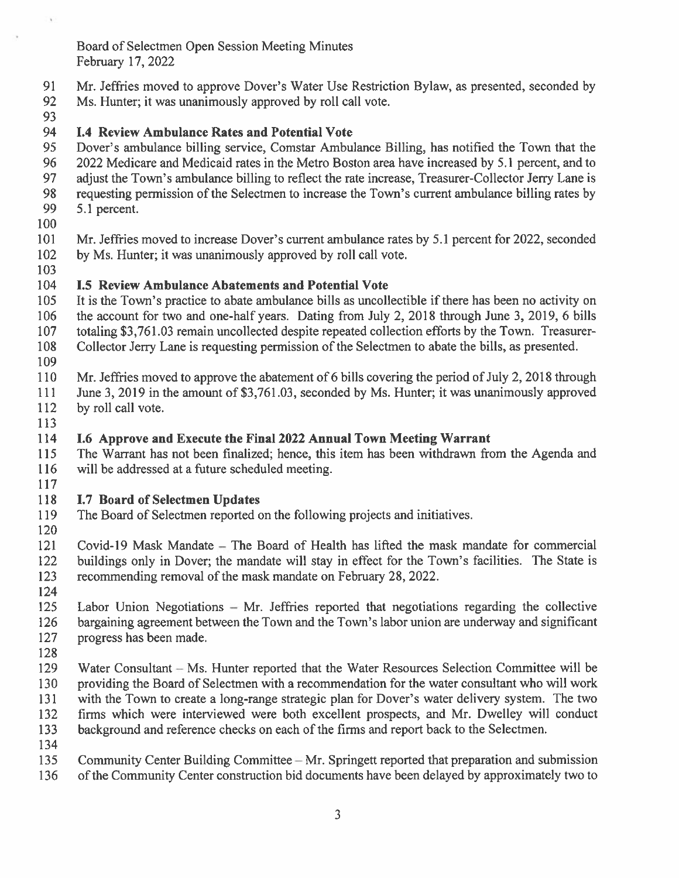Board of Selectmen Open Session Meeting Minutes February 17, 2022

- 91 Mr. Jeffries moved to approve Dover's Water Use Restriction Bylaw, as presented, seconded by
- 92 Ms. Hunter; it was unanimously approved by roll call vote.
- 93

#### 94 **I.4 Review Ambulance Rates and Potential Vote**

95 Dover's ambulance billing service, Comstar Ambulance Billing, has notified the Town that the 96 2022 Medicare and Medicaid rates in the Metro Boston area have increased by 5.1 percent, and to 97 adjust the Town's ambulance billing to reflect the rate increase, Treasurer-Collector Jerry Lane is 98 requesting permission of the Selectmen to increase the Town's current ambulance billing rates by 99 5.1 percent.

100

101 Mr. Jeffries moved to increase Dover's current ambulance rates by 5.1 percent for 2022, seconded 102 by Ms. Hunter; it was unanimously approved by roll call vote.

103

#### 104 **I.5 Review Ambulance Abatements and Potential Vote**

105 It is the Town's practice to abate ambulance bills as uncollectible if there has been no activity on 106 the account for two and one-half years. Dating from July 2, 2018 through June 3, 2019, 6 bills 107 totaling \$3,761.03 remain uncollected despite repeated collection efforts by the Town. Treasurer-

108 Collector Jerry Lane is requesting permission of the Selectmen to abate the bills, as presented. 109

- 110 Mr. Jeffries moved to approve the abatement of 6 bills covering the period of July 2, 2018 through
- 111 June 3, 2019 in the amount of \$3,761.03, seconded by Ms. Hunter; it was unanimously approved
- 112 by roll call vote.
- 113

#### 114 I.6 Approve and Execute the Final 2022 Annual Town Meeting Warrant

115 The Warrant has not been finalized; hence, this item has been withdrawn from the Agenda and 116 will be addressed at a future scheduled meeting. 117

#### 118 **I.7 Board of Selectmen Updates**

- 119 The Board of Selectmen reported on the following projects and initiatives.
- 120

121 Covid-19 Mask Mandate – The Board of Health has lifted the mask mandate for commercial 122 buildings only in Dover; the mandate will stay in effect for the Town's facilities. The State is

- 123 recommending removal of the mask mandate on February 28, 2022.
- 124

125 Labor Union Negotiations – Mr. Jeffries reported that negotiations regarding the collective bargaining agreement between the Town and the Town's labor union are underway and significant 126 127 progress has been made.

128

129 Water Consultant – Ms. Hunter reported that the Water Resources Selection Committee will be 130 providing the Board of Selectmen with a recommendation for the water consultant who will work 131 with the Town to create a long-range strategic plan for Dover's water delivery system. The two 132 firms which were interviewed were both excellent prospects, and Mr. Dwelley will conduct

133 background and reference checks on each of the firms and report back to the Selectmen.

- 134
- 135 Community Center Building Committee – Mr. Springett reported that preparation and submission
- of the Community Center construction bid documents have been delayed by approximately two to 136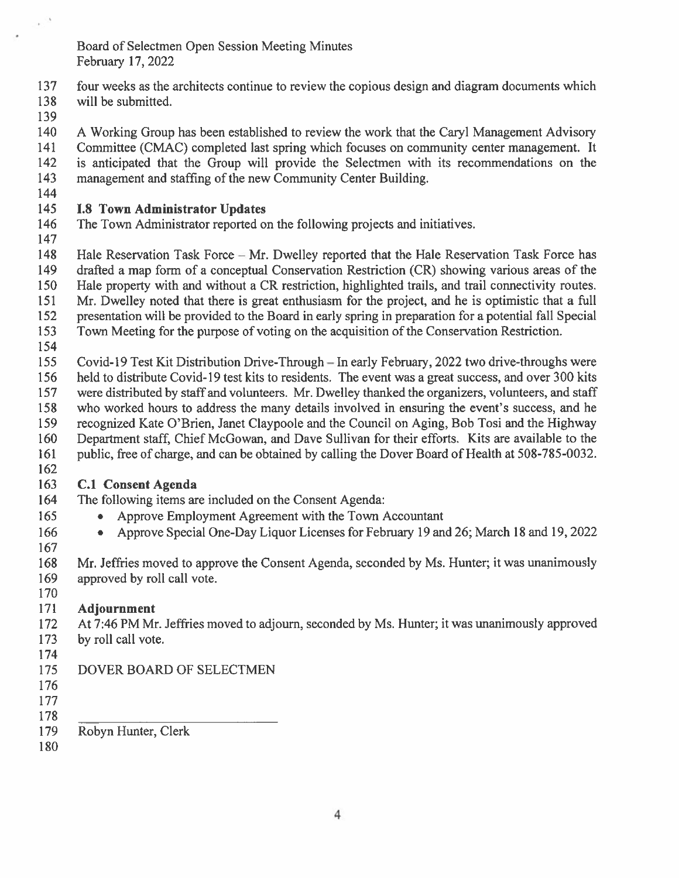Board of Selectmen Open Session Meeting Minutes February 17, 2022

- 137 four weeks as the architects continue to review the copious design and diagram documents which will be submitted.
- 138
- 139

140 A Working Group has been established to review the work that the Caryl Management Advisory Committee (CMAC) completed last spring which focuses on community center management. It 141 142 is anticipated that the Group will provide the Selectmen with its recommendations on the 143 management and staffing of the new Community Center Building.

144

#### 145 **I.8 Town Administrator Updates**

- 146 The Town Administrator reported on the following projects and initiatives.
- 147
- 148 Hale Reservation Task Force – Mr. Dwelley reported that the Hale Reservation Task Force has 149 drafted a map form of a conceptual Conservation Restriction (CR) showing various areas of the
- 150 Hale property with and without a CR restriction, highlighted trails, and trail connectivity routes.
- 151 Mr. Dwelley noted that there is great enthusiasm for the project, and he is optimistic that a full
- presentation will be provided to the Board in early spring in preparation for a potential fall Special 152
- 153 Town Meeting for the purpose of voting on the acquisition of the Conservation Restriction.
- 154

155 Covid-19 Test Kit Distribution Drive-Through – In early February, 2022 two drive-throughs were

- held to distribute Covid-19 test kits to residents. The event was a great success, and over 300 kits 156
- were distributed by staff and volunteers. Mr. Dwelley thanked the organizers, volunteers, and staff 157
- 158 who worked hours to address the many details involved in ensuring the event's success, and he
- 159 recognized Kate O'Brien, Janet Claypoole and the Council on Aging, Bob Tosi and the Highway
- 160 Department staff, Chief McGowan, and Dave Sullivan for their efforts. Kits are available to the
- 161 public, free of charge, and can be obtained by calling the Dover Board of Health at 508-785-0032.
- 162

### 163 C.1 Consent Agenda

- 164 The following items are included on the Consent Agenda: 165
	- Approve Employment Agreement with the Town Accountant
	- Approve Special One-Day Liquor Licenses for February 19 and 26; March 18 and 19, 2022  $\bullet$
- 166 167

168 Mr. Jeffries moved to approve the Consent Agenda, seconded by Ms. Hunter; it was unanimously 169 approved by roll call vote.

### 170 171 Adjournment

172 At 7:46 PM Mr. Jeffries moved to adjourn, seconded by Ms. Hunter; it was unanimously approved 173 by roll call vote.

- 174
- 175 DOVER BOARD OF SELECTMEN
- 176
- 177
- 178
- 179 Robyn Hunter, Clerk
- 180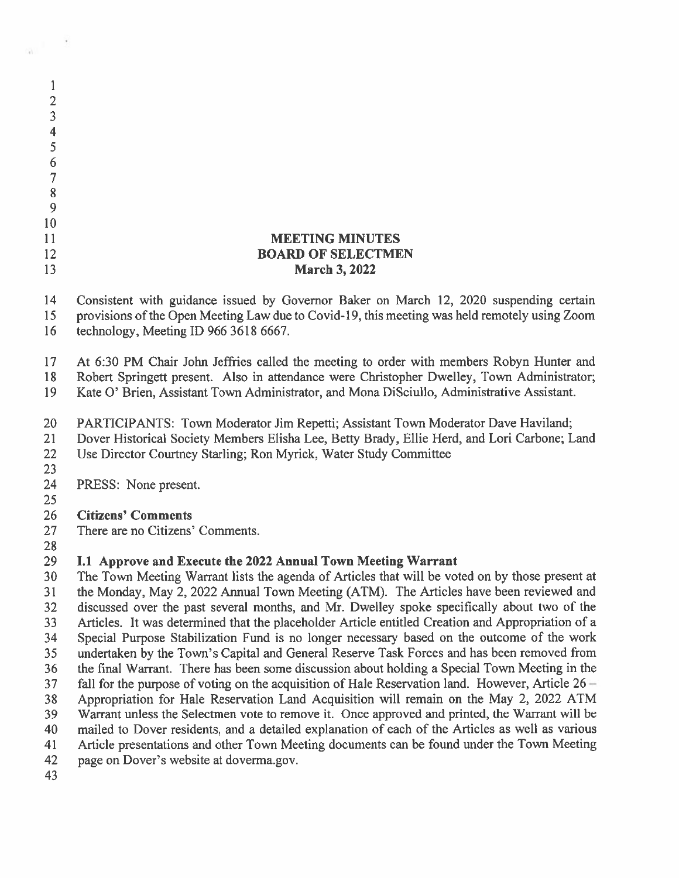| $\overline{2}$   |                                                                                                                                                                                                                                  |
|------------------|----------------------------------------------------------------------------------------------------------------------------------------------------------------------------------------------------------------------------------|
| 3                |                                                                                                                                                                                                                                  |
| $\overline{4}$   |                                                                                                                                                                                                                                  |
| 5                |                                                                                                                                                                                                                                  |
| 6                |                                                                                                                                                                                                                                  |
| 7                |                                                                                                                                                                                                                                  |
| $\boldsymbol{8}$ |                                                                                                                                                                                                                                  |
| 9                |                                                                                                                                                                                                                                  |
|                  |                                                                                                                                                                                                                                  |
| 10               |                                                                                                                                                                                                                                  |
| 11               | <b>MEETING MINUTES</b>                                                                                                                                                                                                           |
| 12               | <b>BOARD OF SELECTMEN</b>                                                                                                                                                                                                        |
| 13               | <b>March 3, 2022</b>                                                                                                                                                                                                             |
| 14<br>15<br>16   | Consistent with guidance issued by Governor Baker on March 12, 2020 suspending certain<br>provisions of the Open Meeting Law due to Covid-19, this meeting was held remotely using Zoom<br>technology, Meeting ID 966 3618 6667. |
|                  |                                                                                                                                                                                                                                  |
| 17               | At 6:30 PM Chair John Jeffries called the meeting to order with members Robyn Hunter and                                                                                                                                         |
| 18               | Robert Springett present. Also in attendance were Christopher Dwelley, Town Administrator;                                                                                                                                       |
| 19               | Kate O' Brien, Assistant Town Administrator, and Mona DiSciullo, Administrative Assistant.                                                                                                                                       |
| 20               | PARTICIPANTS: Town Moderator Jim Repetti; Assistant Town Moderator Dave Haviland;                                                                                                                                                |
| 21               | Dover Historical Society Members Elisha Lee, Betty Brady, Ellie Herd, and Lori Carbone; Land                                                                                                                                     |
| 22               | Use Director Courtney Starling; Ron Myrick, Water Study Committee                                                                                                                                                                |
| 23               |                                                                                                                                                                                                                                  |
| 24               | PRESS: None present.                                                                                                                                                                                                             |
| 25               |                                                                                                                                                                                                                                  |
| 26               | <b>Citizens' Comments</b>                                                                                                                                                                                                        |
| 27               | There are no Citizens' Comments.                                                                                                                                                                                                 |
| 28               |                                                                                                                                                                                                                                  |
| 29               | I.1 Approve and Execute the 2022 Annual Town Meeting Warrant                                                                                                                                                                     |
| 30               | The Town Meeting Warrant lists the agenda of Articles that will be voted on by those present at                                                                                                                                  |
| 31               | the Monday, May 2, 2022 Annual Town Meeting (ATM). The Articles have been reviewed and                                                                                                                                           |
| 32               | discussed over the past several months, and Mr. Dwelley spoke specifically about two of the                                                                                                                                      |
| 33               | Articles. It was determined that the placeholder Article entitled Creation and Appropriation of a                                                                                                                                |
| 34               | Special Purpose Stabilization Fund is no longer necessary based on the outcome of the work                                                                                                                                       |
| 35               | undertaken by the Town's Capital and General Reserve Task Forces and has been removed from                                                                                                                                       |
| 36               | the final Warrant. There has been some discussion about holding a Special Town Meeting in the                                                                                                                                    |
| 37               | fall for the purpose of voting on the acquisition of Hale Reservation land. However, Article $26 -$                                                                                                                              |
| 38               | Appropriation for Hale Reservation Land Acquisition will remain on the May 2, 2022 ATM                                                                                                                                           |
| 39               | Warrant unless the Selectmen vote to remove it. Once approved and printed, the Warrant will be                                                                                                                                   |
| 40               | mailed to Dover residents, and a detailed explanation of each of the Articles as well as various                                                                                                                                 |
| 41               | Article presentations and other Town Meeting documents can be found under the Town Meeting                                                                                                                                       |
| 42               | page on Dover's website at doverma.gov.                                                                                                                                                                                          |
| 43               |                                                                                                                                                                                                                                  |
|                  |                                                                                                                                                                                                                                  |

 $\mathbb{R}^3$ 

si.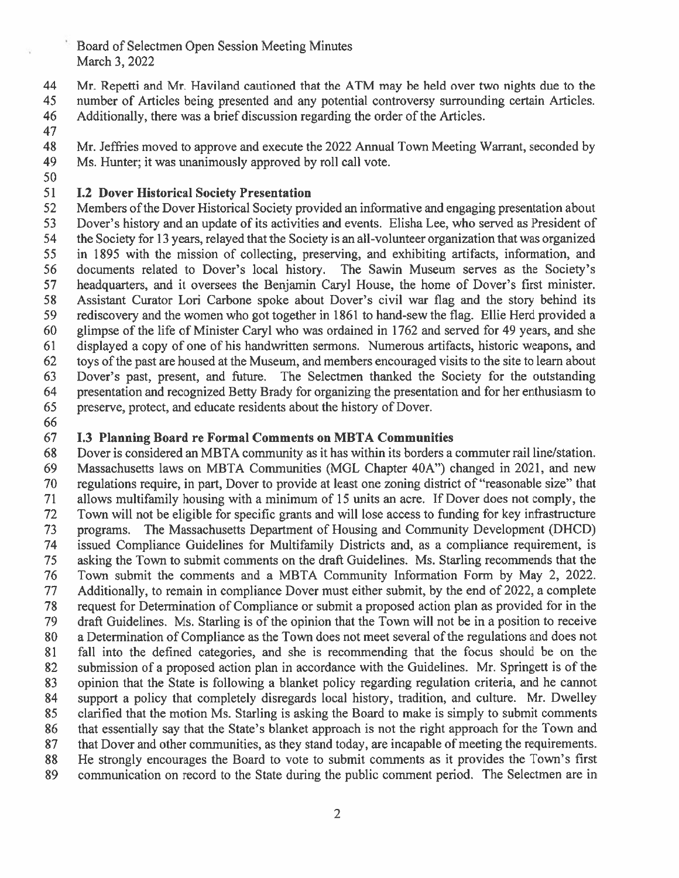## Board of Selectmen Open Session Meeting Minutes March 3, 2022

44 Mr. Repetti and Mr. Haviland cautioned that the ATM may be held over two nights due to the 45 number of Articles being presented and any potential controversy surrounding certain Articles.

46 Additionally, there was a brief discussion regarding the order of the Articles.

47

48 Mr. Jeffries moved to approve and execute the 2022 Annual Town Meeting Warrant, seconded by 49 Ms. Hunter; it was unanimously approved by roll call vote.

50

#### 51 **I.2 Dover Historical Society Presentation**

52 Members of the Dover Historical Society provided an informative and engaging presentation about Dover's history and an update of its activities and events. Elisha Lee, who served as President of 53 54 the Society for 13 years, relayed that the Society is an all-volunteer organization that was organized 55 in 1895 with the mission of collecting, preserving, and exhibiting artifacts, information, and documents related to Dover's local history. The Sawin Museum serves as the Society's 56 headquarters, and it oversees the Benjamin Caryl House, the home of Dover's first minister. 57 Assistant Curator Lori Carbone spoke about Dover's civil war flag and the story behind its 58 59 rediscovery and the women who got together in 1861 to hand-sew the flag. Ellie Herd provided a 60 glimpse of the life of Minister Caryl who was ordained in 1762 and served for 49 years, and she 61 displayed a copy of one of his handwritten sermons. Numerous artifacts, historic weapons, and to is of the past are housed at the Museum, and members encouraged visits to the site to learn about 62 Dover's past, present, and future. The Selectmen thanked the Society for the outstanding 63 64 presentation and recognized Betty Brady for organizing the presentation and for her enthusiasm to 65 preserve, protect, and educate residents about the history of Dover.

66

#### 67 **I.3 Planning Board re Formal Comments on MBTA Communities**

68 Dover is considered an MBTA community as it has within its borders a commuter rail line/station. Massachusetts laws on MBTA Communities (MGL Chapter 40A") changed in 2021, and new 69 70 regulations require, in part, Dover to provide at least one zoning district of "reasonable size" that 71 allows multifamily housing with a minimum of 15 units an acre. If Dover does not comply, the 72 Town will not be eligible for specific grants and will lose access to funding for key infrastructure programs. The Massachusetts Department of Housing and Community Development (DHCD) 73 74 issued Compliance Guidelines for Multifamily Districts and, as a compliance requirement, is asking the Town to submit comments on the draft Guidelines. Ms. Starling recommends that the 75 76 Town submit the comments and a MBTA Community Information Form by May 2, 2022. 77 Additionally, to remain in compliance Dover must either submit, by the end of 2022, a complete 78 request for Determination of Compliance or submit a proposed action plan as provided for in the 79 draft Guidelines. Ms. Starling is of the opinion that the Town will not be in a position to receive 80 a Determination of Compliance as the Town does not meet several of the regulations and does not 81 fall into the defined categories, and she is recommending that the focus should be on the submission of a proposed action plan in accordance with the Guidelines. Mr. Springett is of the 82 83 opinion that the State is following a blanket policy regarding regulation criteria, and he cannot 84 support a policy that completely disregards local history, tradition, and culture. Mr. Dwelley clarified that the motion Ms. Starling is asking the Board to make is simply to submit comments 85 that essentially say that the State's blanket approach is not the right approach for the Town and 86 87 that Dover and other communities, as they stand today, are incapable of meeting the requirements. 88 He strongly encourages the Board to vote to submit comments as it provides the Town's first 89 communication on record to the State during the public comment period. The Selectmen are in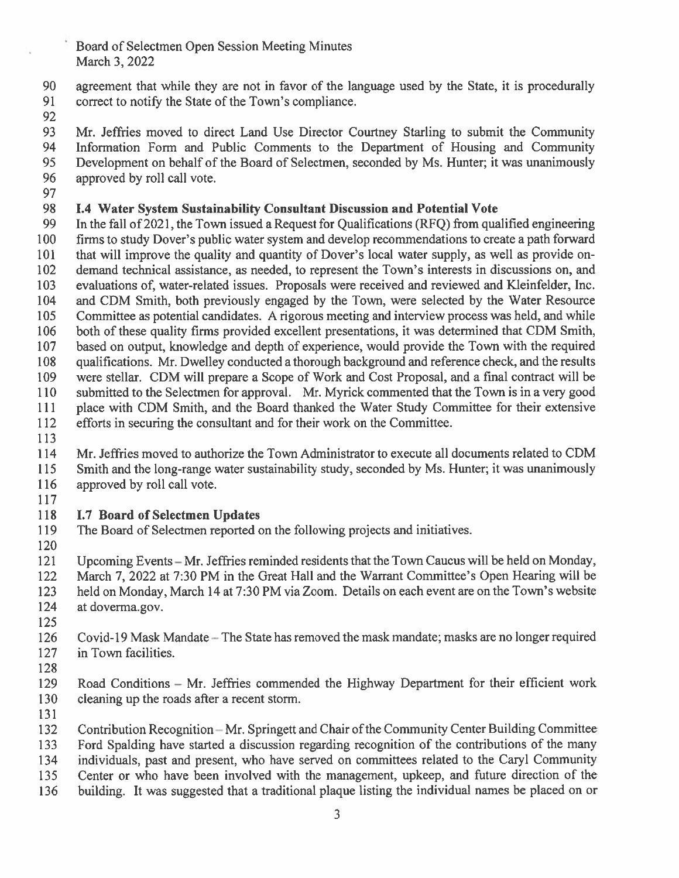Board of Selectmen Open Session Meeting Minutes March 3, 2022

agreement that while they are not in favor of the language used by the State, it is procedurally 90 91 correct to notify the State of the Town's compliance.

92

93 Mr. Jeffries moved to direct Land Use Director Courtney Starling to submit the Community 94 Information Form and Public Comments to the Department of Housing and Community 95 Development on behalf of the Board of Selectmen, seconded by Ms. Hunter; it was unanimously 96 approved by roll call vote.

97

#### 98 I.4 Water System Sustainability Consultant Discussion and Potential Vote

99 In the fall of 2021, the Town issued a Request for Qualifications (RFQ) from qualified engineering firms to study Dover's public water system and develop recommendations to create a path forward 100 101 that will improve the quality and quantity of Dover's local water supply, as well as provide ondemand technical assistance, as needed, to represent the Town's interests in discussions on, and 102 103 evaluations of, water-related issues. Proposals were received and reviewed and Kleinfelder, Inc. 104 and CDM Smith, both previously engaged by the Town, were selected by the Water Resource 105 Committee as potential candidates. A rigorous meeting and interview process was held, and while 106 both of these quality firms provided excellent presentations, it was determined that CDM Smith, 107 based on output, knowledge and depth of experience, would provide the Town with the required 108 qualifications. Mr. Dwelley conducted a thorough background and reference check, and the results 109 were stellar. CDM will prepare a Scope of Work and Cost Proposal, and a final contract will be submitted to the Selectmen for approval. Mr. Myrick commented that the Town is in a very good 110 111 place with CDM Smith, and the Board thanked the Water Study Committee for their extensive 112 efforts in securing the consultant and for their work on the Committee.

113

114 Mr. Jeffries moved to authorize the Town Administrator to execute all documents related to CDM

Smith and the long-range water sustainability study, seconded by Ms. Hunter; it was unanimously 115 116 approved by roll call vote.

117

#### 118 **I.7 Board of Selectmen Updates**

119 The Board of Selectmen reported on the following projects and initiatives.

120

121 Upcoming Events – Mr. Jeffries reminded residents that the Town Caucus will be held on Monday, 122 March 7, 2022 at 7:30 PM in the Great Hall and the Warrant Committee's Open Hearing will be 123 held on Monday, March 14 at 7:30 PM via Zoom. Details on each event are on the Town's website 124 at doverma.gov.

125

Covid-19 Mask Mandate - The State has removed the mask mandate; masks are no longer required 126 127 in Town facilities.

128

129 Road Conditions – Mr. Jeffries commended the Highway Department for their efficient work 130 cleaning up the roads after a recent storm.

131

Contribution Recognition-Mr. Springett and Chair of the Community Center Building Committee 132

Ford Spalding have started a discussion regarding recognition of the contributions of the many 133

individuals, past and present, who have served on committees related to the Caryl Community 134

135 Center or who have been involved with the management, upkeep, and future direction of the

building. It was suggested that a traditional plaque listing the individual names be placed on or 136